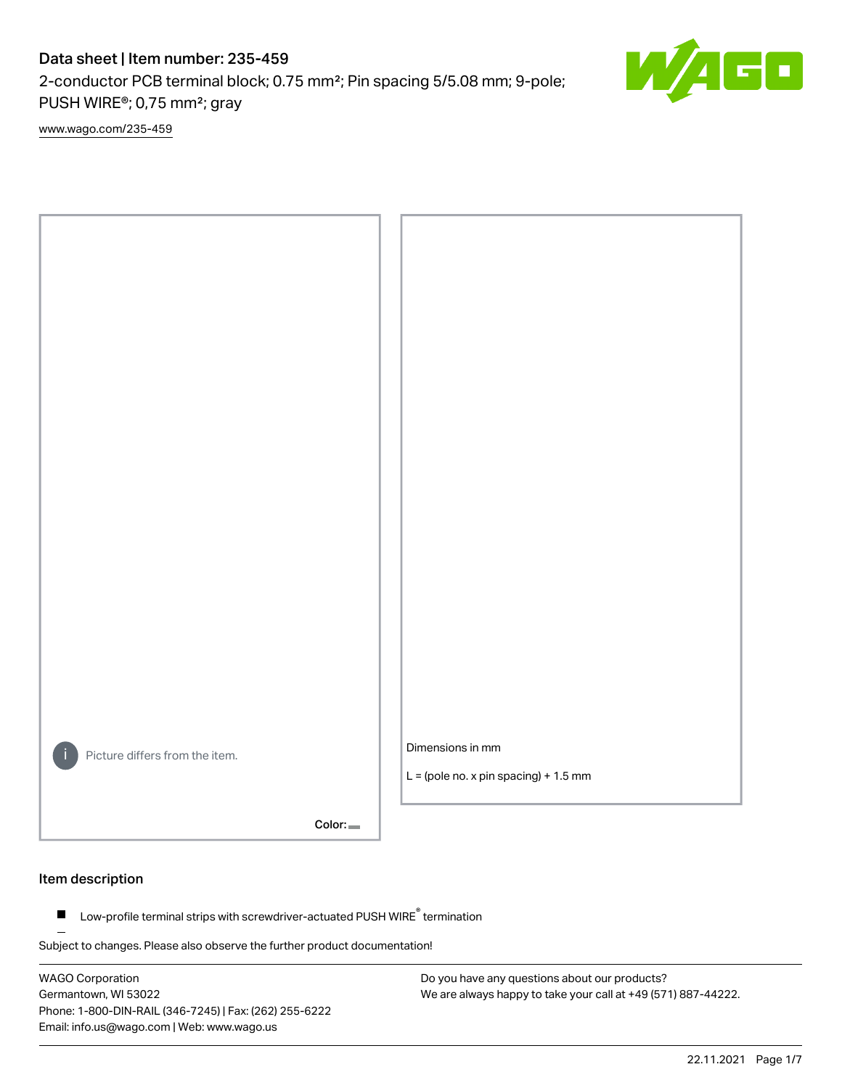2-conductor PCB terminal block; 0.75 mm²; Pin spacing 5/5.08 mm; 9-pole; PUSH WIRE®; 0,75 mm²; gray

[www.wago.com/235-459](http://www.wago.com/235-459)



Color:

#### Item description

Low-profile terminal strips with screwdriver-actuated PUSH WIRE® termination  $\blacksquare$ 

Subject to changes. Please also observe the further product documentation!

WAGO Corporation Germantown, WI 53022 Phone: 1-800-DIN-RAIL (346-7245) | Fax: (262) 255-6222 Email: info.us@wago.com | Web: www.wago.us

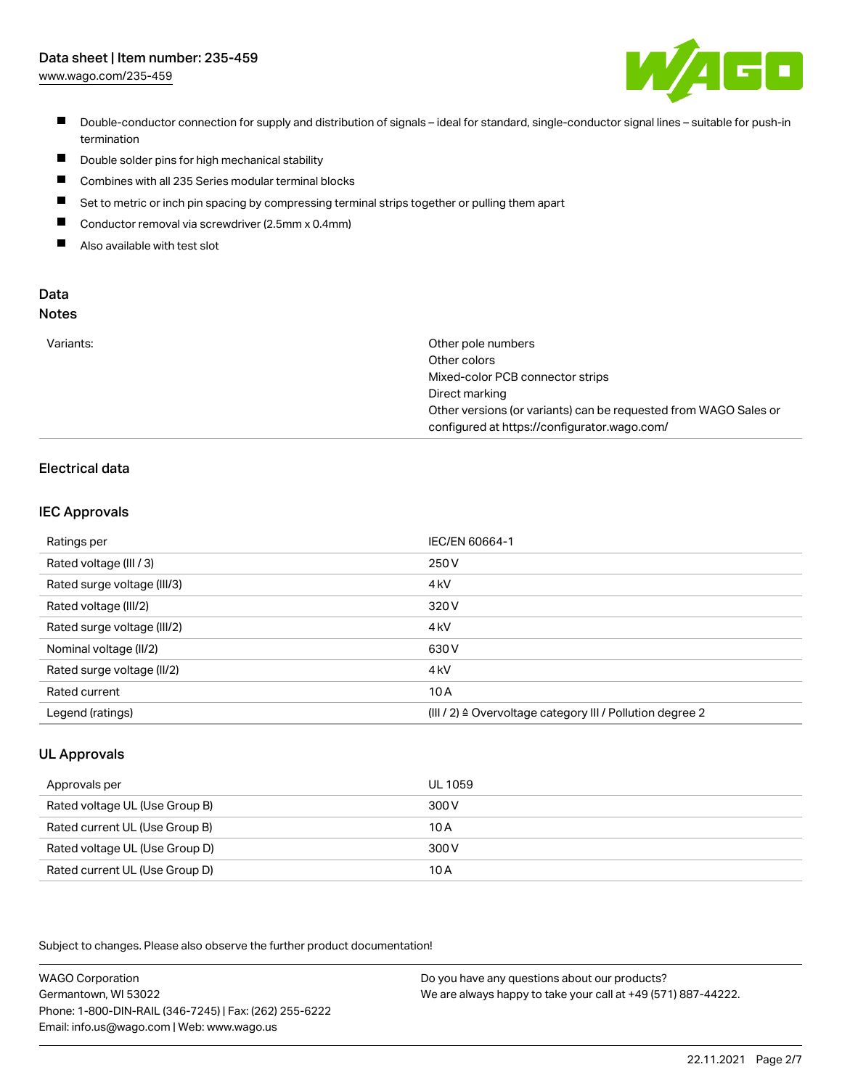[www.wago.com/235-459](http://www.wago.com/235-459)



- Double-conductor connection for supply and distribution of signals ideal for standard, single-conductor signal lines suitable for push-in termination
- $\blacksquare$ Double solder pins for high mechanical stability
- $\blacksquare$ Combines with all 235 Series modular terminal blocks
- П Set to metric or inch pin spacing by compressing terminal strips together or pulling them apart
- $\blacksquare$ Conductor removal via screwdriver (2.5mm x 0.4mm)
- $\blacksquare$ Also available with test slot

#### Data Notes

|  | ×<br>ï<br>M.<br>v | - -<br>۰. | I<br>. .<br>۰. |  |
|--|-------------------|-----------|----------------|--|
|  |                   |           |                |  |
|  |                   |           |                |  |

| Variants: | Other pole numbers                                               |
|-----------|------------------------------------------------------------------|
|           | Other colors                                                     |
|           | Mixed-color PCB connector strips                                 |
|           | Direct marking                                                   |
|           | Other versions (or variants) can be requested from WAGO Sales or |
|           | configured at https://configurator.wago.com/                     |

## Electrical data

### IEC Approvals

| Ratings per                 | IEC/EN 60664-1                                                        |
|-----------------------------|-----------------------------------------------------------------------|
| Rated voltage (III / 3)     | 250 V                                                                 |
| Rated surge voltage (III/3) | 4 <sub>k</sub> V                                                      |
| Rated voltage (III/2)       | 320 V                                                                 |
| Rated surge voltage (III/2) | 4 <sub>k</sub> V                                                      |
| Nominal voltage (II/2)      | 630 V                                                                 |
| Rated surge voltage (II/2)  | 4 <sub>k</sub> V                                                      |
| Rated current               | 10A                                                                   |
| Legend (ratings)            | $(III / 2)$ $\triangle$ Overvoltage category III / Pollution degree 2 |

## UL Approvals

| Approvals per                  | UL 1059 |
|--------------------------------|---------|
| Rated voltage UL (Use Group B) | 300 V   |
| Rated current UL (Use Group B) | 10 A    |
| Rated voltage UL (Use Group D) | 300 V   |
| Rated current UL (Use Group D) | 10A     |

Subject to changes. Please also observe the further product documentation!

WAGO Corporation Germantown, WI 53022 Phone: 1-800-DIN-RAIL (346-7245) | Fax: (262) 255-6222 Email: info.us@wago.com | Web: www.wago.us Do you have any questions about our products? We are always happy to take your call at +49 (571) 887-44222.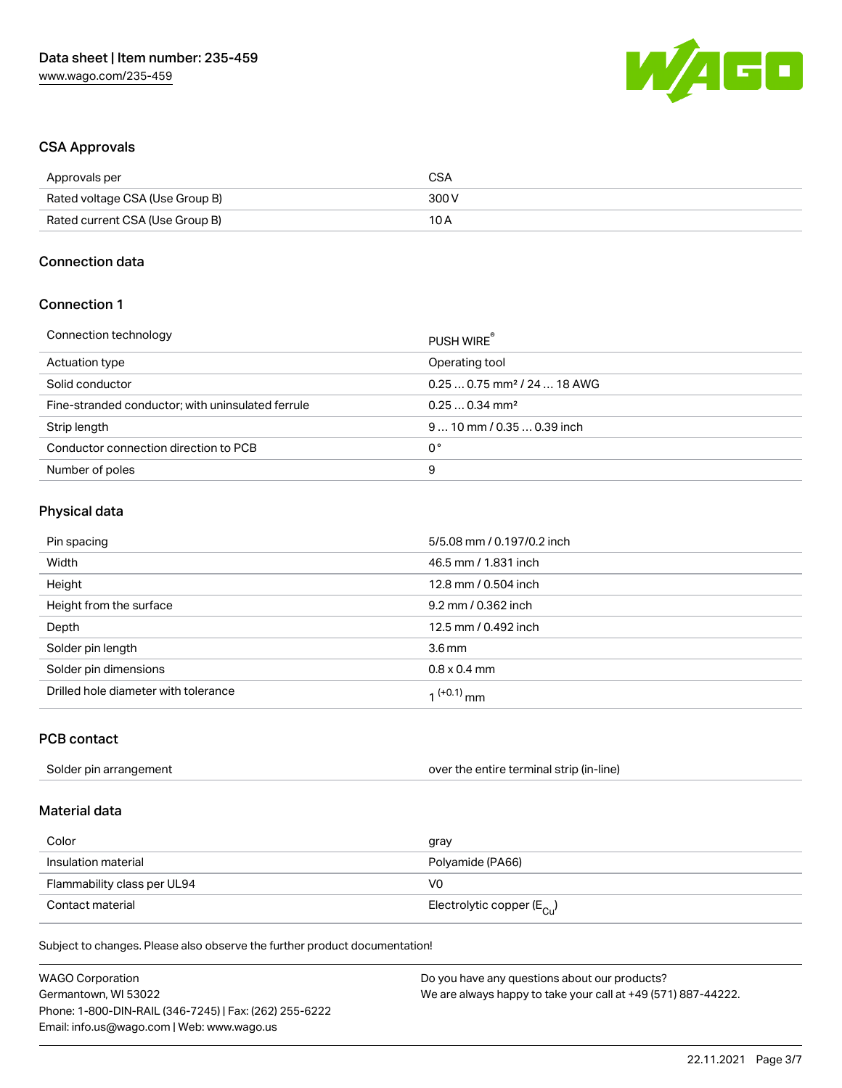

### CSA Approvals

| Approvals per                   | CSA   |
|---------------------------------|-------|
| Rated voltage CSA (Use Group B) | 300 V |
| Rated current CSA (Use Group B) | 10 A  |

#### Connection data

### Connection 1

| Connection technology                             | PUSH WIRE                               |
|---------------------------------------------------|-----------------------------------------|
| Actuation type                                    | Operating tool                          |
| Solid conductor                                   | $0.250.75$ mm <sup>2</sup> / 24  18 AWG |
| Fine-stranded conductor; with uninsulated ferrule | $0.250.34$ mm <sup>2</sup>              |
| Strip length                                      | $910$ mm $/0.350.39$ inch               |
| Conductor connection direction to PCB             | 0°                                      |
| Number of poles                                   | 9                                       |
|                                                   |                                         |

### Physical data

| Pin spacing                          | 5/5.08 mm / 0.197/0.2 inch |
|--------------------------------------|----------------------------|
| Width                                | 46.5 mm / 1.831 inch       |
| Height                               | 12.8 mm / 0.504 inch       |
| Height from the surface              | 9.2 mm / 0.362 inch        |
| Depth                                | 12.5 mm / 0.492 inch       |
| Solder pin length                    | 3.6 <sub>mm</sub>          |
| Solder pin dimensions                | $0.8 \times 0.4$ mm        |
| Drilled hole diameter with tolerance | 1 <sup>(+0.1)</sup> mm     |

## PCB contact

| Solder pin arrangement | over the entire terminal strip (in-line) |
|------------------------|------------------------------------------|
|------------------------|------------------------------------------|

## Material data

| Color                       | gray                                    |
|-----------------------------|-----------------------------------------|
| Insulation material         | Polyamide (PA66)                        |
| Flammability class per UL94 | VO                                      |
| Contact material            | Electrolytic copper ( $E_{\text{Cu}}$ ) |

Subject to changes. Please also observe the further product documentation!

| <b>WAGO Corporation</b>                                | Do you have any questions about our products?                 |
|--------------------------------------------------------|---------------------------------------------------------------|
| Germantown, WI 53022                                   | We are always happy to take your call at +49 (571) 887-44222. |
| Phone: 1-800-DIN-RAIL (346-7245)   Fax: (262) 255-6222 |                                                               |
| Email: info.us@wago.com   Web: www.wago.us             |                                                               |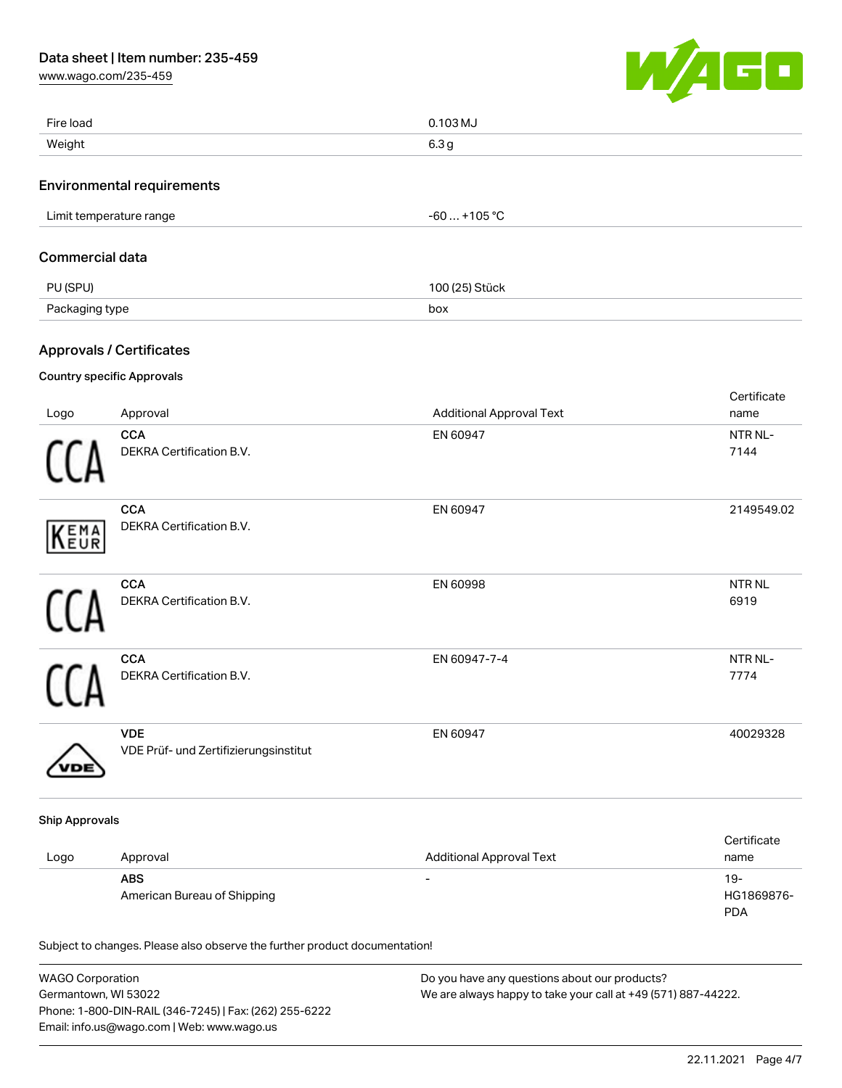[www.wago.com/235-459](http://www.wago.com/235-459)



| Fire load               |                                                                            | 0.103 MJ                        |                                    |
|-------------------------|----------------------------------------------------------------------------|---------------------------------|------------------------------------|
| Weight                  |                                                                            | 6.3 <sub>g</sub>                |                                    |
|                         | <b>Environmental requirements</b>                                          |                                 |                                    |
| Limit temperature range |                                                                            | $-60+105$ °C                    |                                    |
| <b>Commercial data</b>  |                                                                            |                                 |                                    |
| PU (SPU)                |                                                                            | 100 (25) Stück                  |                                    |
| Packaging type          |                                                                            | box                             |                                    |
|                         |                                                                            |                                 |                                    |
|                         | <b>Approvals / Certificates</b>                                            |                                 |                                    |
|                         | <b>Country specific Approvals</b>                                          |                                 | Certificate                        |
| Logo                    | Approval                                                                   | <b>Additional Approval Text</b> | name                               |
|                         | CCA<br>DEKRA Certification B.V.                                            | EN 60947                        | NTR NL-<br>7144                    |
| EMA<br>EUR              | <b>CCA</b><br>DEKRA Certification B.V.                                     | EN 60947                        | 2149549.02                         |
|                         | CCA<br>DEKRA Certification B.V.                                            | EN 60998                        | <b>NTR NL</b><br>6919              |
|                         | <b>CCA</b><br>DEKRA Certification B.V.                                     | EN 60947-7-4                    | NTR NL-<br>7774                    |
|                         | <b>VDE</b><br>VDE Prüf- und Zertifizierungsinstitut                        | EN 60947                        | 40029328                           |
| <b>Ship Approvals</b>   |                                                                            |                                 |                                    |
| Logo                    | Approval                                                                   | <b>Additional Approval Text</b> | Certificate<br>name                |
|                         | <b>ABS</b><br>American Bureau of Shipping                                  | $\overline{\phantom{a}}$        | $19 -$<br>HG1869876-<br><b>PDA</b> |
|                         | Subject to changes. Please also observe the further product documentation! |                                 |                                    |

| <b>WAGO Corporation</b>                                | Do you have any questions about our products?                 |
|--------------------------------------------------------|---------------------------------------------------------------|
| Germantown, WI 53022                                   | We are always happy to take your call at +49 (571) 887-44222. |
| Phone: 1-800-DIN-RAIL (346-7245)   Fax: (262) 255-6222 |                                                               |
| Email: info.us@wago.com   Web: www.wago.us             |                                                               |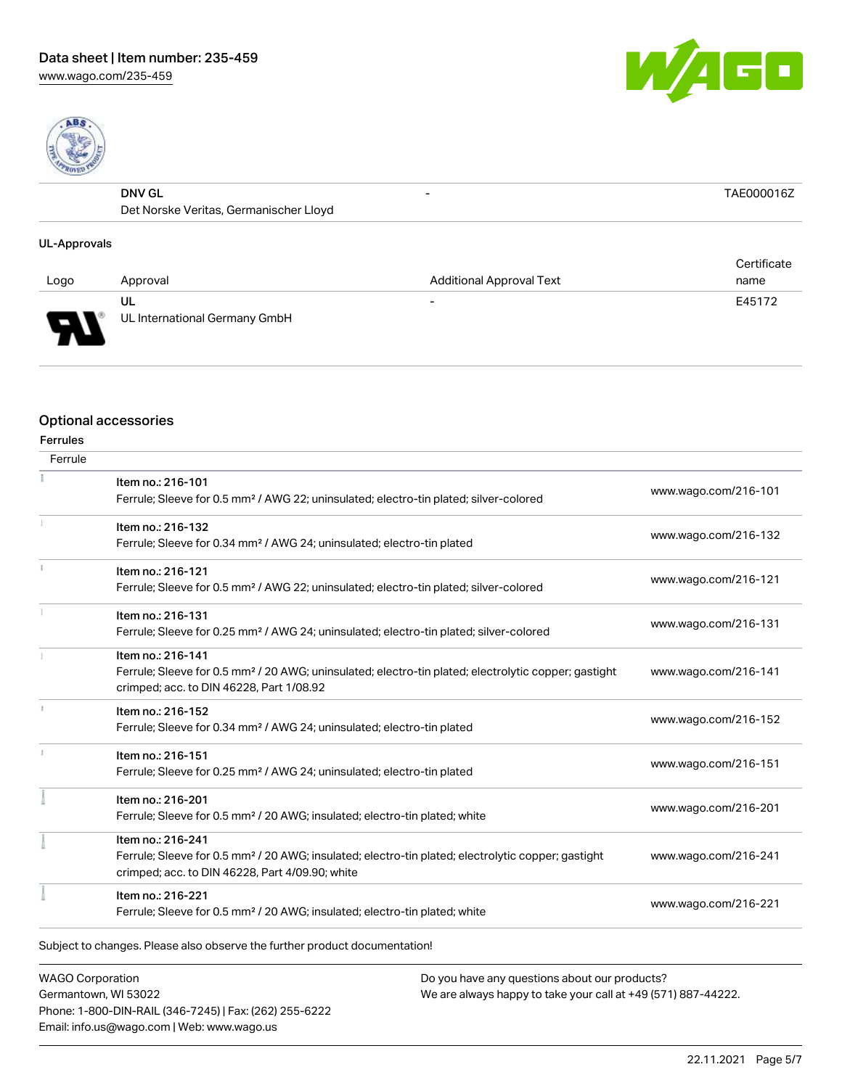[www.wago.com/235-459](http://www.wago.com/235-459)





| <b>DNV GL</b>     | $\overline{\phantom{0}}$         |  |
|-------------------|----------------------------------|--|
| Det.<br>t Norskel | Veritas. Germanischer I<br>Lloyd |  |
|                   |                                  |  |

### UL-Approvals

|        |                                     |                                 | Certificate |
|--------|-------------------------------------|---------------------------------|-------------|
| Logo   | Approval                            | <b>Additional Approval Text</b> | name        |
| J<br>┱ | UL<br>UL International Germany GmbH | $\overline{\phantom{0}}$        | E45172      |

#### Optional accessories

| Ferrule |                                                                                                                  |                      |  |
|---------|------------------------------------------------------------------------------------------------------------------|----------------------|--|
|         | Item no.: 216-101                                                                                                | www.wago.com/216-101 |  |
|         | Ferrule; Sleeve for 0.5 mm <sup>2</sup> / AWG 22; uninsulated; electro-tin plated; silver-colored                |                      |  |
|         | Item no.: 216-132                                                                                                |                      |  |
|         | Ferrule; Sleeve for 0.34 mm <sup>2</sup> / AWG 24; uninsulated; electro-tin plated                               | www.wago.com/216-132 |  |
|         | Item no.: 216-121                                                                                                |                      |  |
|         | Ferrule; Sleeve for 0.5 mm <sup>2</sup> / AWG 22; uninsulated; electro-tin plated; silver-colored                | www.wago.com/216-121 |  |
|         | Item no.: 216-131                                                                                                |                      |  |
|         | Ferrule; Sleeve for 0.25 mm <sup>2</sup> / AWG 24; uninsulated; electro-tin plated; silver-colored               | www.wago.com/216-131 |  |
|         | Item no.: 216-141                                                                                                |                      |  |
|         | Ferrule; Sleeve for 0.5 mm <sup>2</sup> / 20 AWG; uninsulated; electro-tin plated; electrolytic copper; gastight | www.wago.com/216-141 |  |
|         | crimped; acc. to DIN 46228, Part 1/08.92                                                                         |                      |  |
|         | Item no.: 216-152                                                                                                | www.wago.com/216-152 |  |
|         | Ferrule; Sleeve for 0.34 mm <sup>2</sup> / AWG 24; uninsulated; electro-tin plated                               |                      |  |
|         | Item no.: 216-151                                                                                                |                      |  |
|         | Ferrule; Sleeve for 0.25 mm <sup>2</sup> / AWG 24; uninsulated; electro-tin plated                               | www.wago.com/216-151 |  |
|         | Item no.: 216-201                                                                                                |                      |  |
|         | Ferrule; Sleeve for 0.5 mm <sup>2</sup> / 20 AWG; insulated; electro-tin plated; white                           | www.wago.com/216-201 |  |
|         | Item no.: 216-241                                                                                                |                      |  |
|         | Ferrule; Sleeve for 0.5 mm <sup>2</sup> / 20 AWG; insulated; electro-tin plated; electrolytic copper; gastight   | www.wago.com/216-241 |  |
|         | crimped; acc. to DIN 46228, Part 4/09.90; white                                                                  |                      |  |
|         | Item no.: 216-221                                                                                                | www.wago.com/216-221 |  |
|         | Ferrule; Sleeve for 0.5 mm <sup>2</sup> / 20 AWG; insulated; electro-tin plated; white                           |                      |  |

WAGO Corporation Germantown, WI 53022 Phone: 1-800-DIN-RAIL (346-7245) | Fax: (262) 255-6222 Email: info.us@wago.com | Web: www.wago.us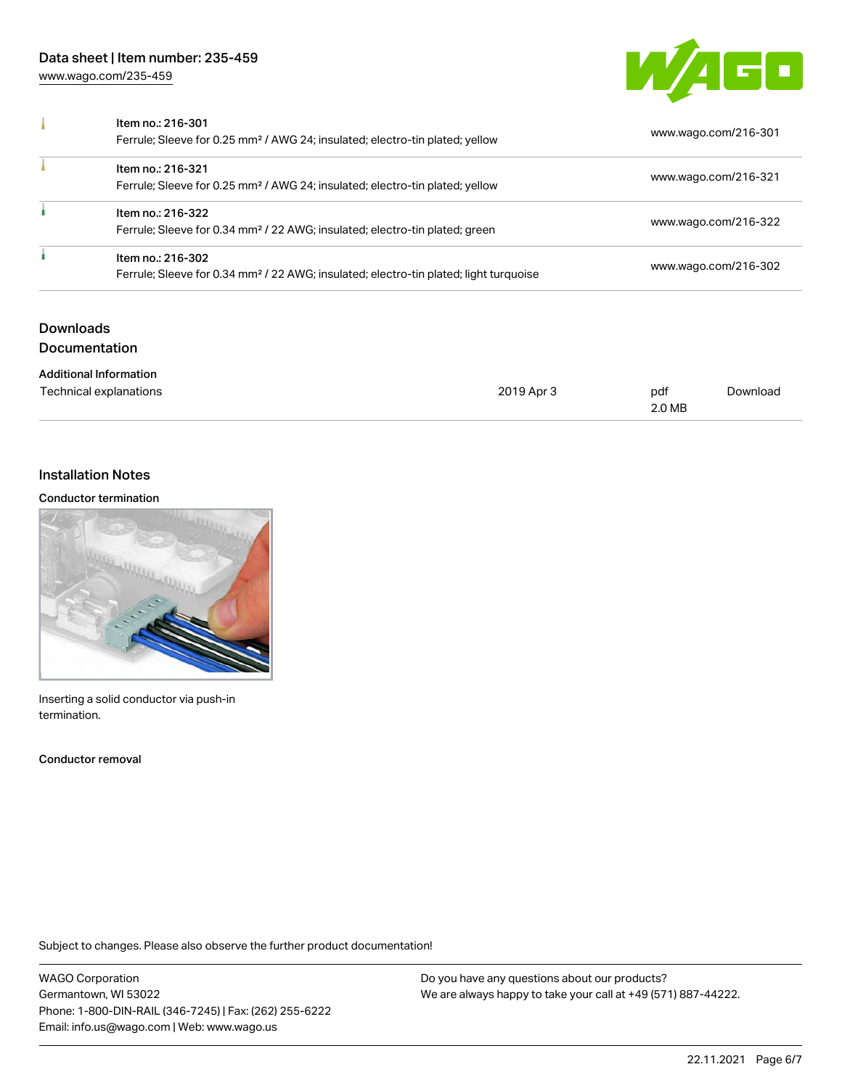[www.wago.com/235-459](http://www.wago.com/235-459)



| Item no.: 216-301<br>Ferrule; Sleeve for 0.25 mm <sup>2</sup> / AWG 24; insulated; electro-tin plated; yellow          | www.wago.com/216-301 |
|------------------------------------------------------------------------------------------------------------------------|----------------------|
| Item no.: 216-321<br>Ferrule; Sleeve for 0.25 mm <sup>2</sup> / AWG 24; insulated; electro-tin plated; yellow          | www.wago.com/216-321 |
| Item no.: 216-322<br>Ferrule; Sleeve for 0.34 mm <sup>2</sup> / 22 AWG; insulated; electro-tin plated; green           | www.wago.com/216-322 |
| Item no.: 216-302<br>Ferrule; Sleeve for 0.34 mm <sup>2</sup> / 22 AWG; insulated; electro-tin plated; light turquoise | www.wago.com/216-302 |

## Downloads Documentation

| <b>Additional Information</b> |            |        |          |
|-------------------------------|------------|--------|----------|
| Technical explanations        | 2019 Apr 3 | pdf    | Download |
|                               |            | 2.0 MB |          |

## Installation Notes

#### Conductor termination



Inserting a solid conductor via push-in termination.

Conductor removal

Subject to changes. Please also observe the further product documentation!

WAGO Corporation Germantown, WI 53022 Phone: 1-800-DIN-RAIL (346-7245) | Fax: (262) 255-6222 Email: info.us@wago.com | Web: www.wago.us